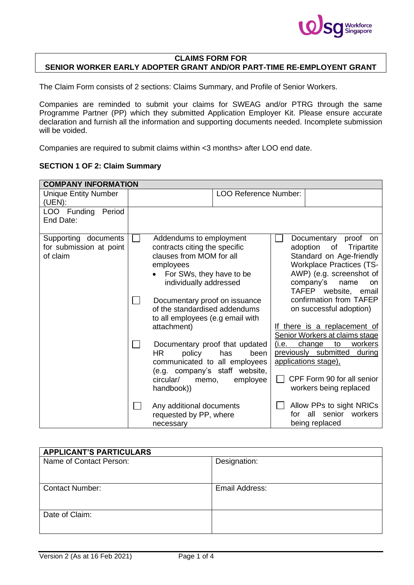

## **CLAIMS FORM FOR SENIOR WORKER EARLY ADOPTER GRANT AND/OR PART-TIME RE-EMPLOYENT GRANT**

The Claim Form consists of 2 sections: Claims Summary, and Profile of Senior Workers.

Companies are reminded to submit your claims for SWEAG and/or PTRG through the same Programme Partner (PP) which they submitted Application Employer Kit. Please ensure accurate declaration and furnish all the information and supporting documents needed. Incomplete submission will be voided.

Companies are required to submit claims within <3 months> after LOO end date.

## **SECTION 1 OF 2: Claim Summary**

| <b>COMPANY INFORMATION</b>                                  |                                                                                  |                                                                                                                                                               |                               |                                                                                                                                                                                                                                         |                                                                                                                                           |  |  |  |
|-------------------------------------------------------------|----------------------------------------------------------------------------------|---------------------------------------------------------------------------------------------------------------------------------------------------------------|-------------------------------|-----------------------------------------------------------------------------------------------------------------------------------------------------------------------------------------------------------------------------------------|-------------------------------------------------------------------------------------------------------------------------------------------|--|--|--|
| <b>Unique Entity Number</b><br>(UEN):                       |                                                                                  |                                                                                                                                                               | <b>LOO Reference Number:</b>  |                                                                                                                                                                                                                                         |                                                                                                                                           |  |  |  |
| LOO Funding<br>Period<br>End Date:                          |                                                                                  |                                                                                                                                                               |                               |                                                                                                                                                                                                                                         |                                                                                                                                           |  |  |  |
| Supporting documents<br>for submission at point<br>of claim |                                                                                  | Addendums to employment<br>contracts citing the specific<br>clauses from MOM for all<br>employees<br>For SWs, they have to be<br>individually addressed       | Documentary proof on issuance | Documentary proof<br>on<br>adoption<br>of<br>Tripartite<br>Standard on Age-friendly<br><b>Workplace Practices (TS-</b><br>AWP) (e.g. screenshot of<br>company's<br>name<br><b>on</b><br>TAFEP website, email<br>confirmation from TAFEP |                                                                                                                                           |  |  |  |
|                                                             | of the standardised addendums<br>to all employees (e.g email with<br>attachment) | on successful adoption)<br>If there is a replacement of<br>Senior Workers at claims stage                                                                     |                               |                                                                                                                                                                                                                                         |                                                                                                                                           |  |  |  |
|                                                             | <b>HR</b><br>circular/                                                           | Documentary proof that updated<br>policy<br>has<br>been<br>communicated to all employees<br>(e.g. company's staff website,<br>employee<br>memo,<br>handbook)) |                               | (i.e.                                                                                                                                                                                                                                   | change<br>workers<br>to<br>previously submitted<br>during<br>applications stage),<br>CPF Form 90 for all senior<br>workers being replaced |  |  |  |
|                                                             |                                                                                  | Any additional documents<br>requested by PP, where<br>necessary                                                                                               |                               | for.                                                                                                                                                                                                                                    | Allow PPs to sight NRICs<br>senior<br>workers<br>all<br>being replaced                                                                    |  |  |  |

| <b>APPLICANT'S PARTICULARS</b> |                |
|--------------------------------|----------------|
| Name of Contact Person:        | Designation:   |
|                                |                |
|                                |                |
| <b>Contact Number:</b>         | Email Address: |
|                                |                |
|                                |                |
| Date of Claim:                 |                |
|                                |                |
|                                |                |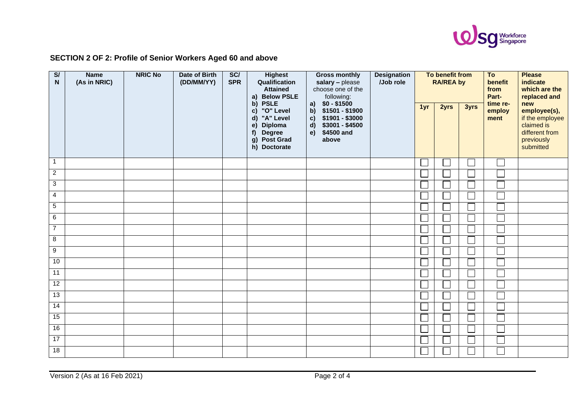

## **SECTION 2 OF 2: Profile of Senior Workers Aged 60 and above**

| $\overline{\mathbf{s}}$<br>N | <b>Name</b><br>(As in NRIC) | <b>NRIC No</b> | Date of Birth<br>(DD/MM/YY) | SC/<br><b>SPR</b> | <b>Highest</b><br>Qualification<br><b>Attained</b><br><b>Below PSLE</b><br>a)                                                                                 | <b>Designation</b><br><b>Gross monthly</b><br>/Job role<br>salary - please<br>choose one of the<br>following:                            |  | To benefit from<br><b>RA/REA by</b> |      |      | To<br>benefit<br>from<br>Part- | <b>Please</b><br>indicate<br>which are the<br>replaced and                                        |
|------------------------------|-----------------------------|----------------|-----------------------------|-------------------|---------------------------------------------------------------------------------------------------------------------------------------------------------------|------------------------------------------------------------------------------------------------------------------------------------------|--|-------------------------------------|------|------|--------------------------------|---------------------------------------------------------------------------------------------------|
|                              |                             |                |                             |                   | <b>PSLE</b><br>$\mathbf{b}$<br>"O" Level<br>c)<br>"A" Level<br>$\mathsf{d}$<br>Diploma<br>e)<br><b>Degree</b><br>f)<br><b>Post Grad</b><br>g)<br>h) Doctorate | a) $$0 - $1500$<br>b) \$1501 - \$1900<br>\$1901 - \$3000<br>$\mathbf{c}$<br>\$3001 - \$4500<br>$\mathsf{d}$<br>\$4500 and<br>e)<br>above |  | 1yr                                 | 2yrs | 3yrs | time re-<br>employ<br>ment     | new<br>employee(s),<br>if the employee<br>claimed is<br>different from<br>previously<br>submitted |
| $\mathbf{1}$                 |                             |                |                             |                   |                                                                                                                                                               |                                                                                                                                          |  |                                     |      |      |                                |                                                                                                   |
| $\overline{2}$               |                             |                |                             |                   |                                                                                                                                                               |                                                                                                                                          |  |                                     |      |      |                                |                                                                                                   |
| 3                            |                             |                |                             |                   |                                                                                                                                                               |                                                                                                                                          |  |                                     |      |      |                                |                                                                                                   |
| $\overline{4}$               |                             |                |                             |                   |                                                                                                                                                               |                                                                                                                                          |  |                                     |      |      |                                |                                                                                                   |
| $\overline{5}$               |                             |                |                             |                   |                                                                                                                                                               |                                                                                                                                          |  |                                     |      |      |                                |                                                                                                   |
| $\,6\,$                      |                             |                |                             |                   |                                                                                                                                                               |                                                                                                                                          |  |                                     |      |      |                                |                                                                                                   |
| $\overline{7}$               |                             |                |                             |                   |                                                                                                                                                               |                                                                                                                                          |  |                                     |      |      |                                |                                                                                                   |
| 8                            |                             |                |                             |                   |                                                                                                                                                               |                                                                                                                                          |  |                                     |      |      |                                |                                                                                                   |
| $\overline{9}$               |                             |                |                             |                   |                                                                                                                                                               |                                                                                                                                          |  |                                     |      |      |                                |                                                                                                   |
| 10                           |                             |                |                             |                   |                                                                                                                                                               |                                                                                                                                          |  |                                     |      |      |                                |                                                                                                   |
| 11                           |                             |                |                             |                   |                                                                                                                                                               |                                                                                                                                          |  |                                     |      |      |                                |                                                                                                   |
| 12                           |                             |                |                             |                   |                                                                                                                                                               |                                                                                                                                          |  |                                     |      |      |                                |                                                                                                   |
| 13                           |                             |                |                             |                   |                                                                                                                                                               |                                                                                                                                          |  |                                     |      |      |                                |                                                                                                   |
| 14                           |                             |                |                             |                   |                                                                                                                                                               |                                                                                                                                          |  |                                     |      |      |                                |                                                                                                   |
| 15                           |                             |                |                             |                   |                                                                                                                                                               |                                                                                                                                          |  |                                     |      |      |                                |                                                                                                   |
| 16                           |                             |                |                             |                   |                                                                                                                                                               |                                                                                                                                          |  |                                     |      |      |                                |                                                                                                   |
| $\overline{17}$              |                             |                |                             |                   |                                                                                                                                                               |                                                                                                                                          |  |                                     |      |      |                                |                                                                                                   |
| $\overline{18}$              |                             |                |                             |                   |                                                                                                                                                               |                                                                                                                                          |  |                                     |      |      |                                |                                                                                                   |

Version 2 (As at 16 Feb 2021) Page 2 of 4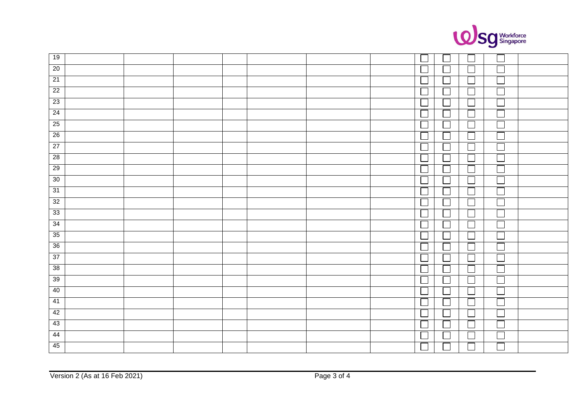

| 19              |  |  |  |                             |        |                             |                          |  |
|-----------------|--|--|--|-----------------------------|--------|-----------------------------|--------------------------|--|
| 20              |  |  |  |                             |        |                             | J.                       |  |
| 21              |  |  |  |                             |        |                             | Ξ                        |  |
| $\overline{22}$ |  |  |  | $\overline{\phantom{a}}$    |        | ப                           | $\overline{\phantom{a}}$ |  |
| $\overline{23}$ |  |  |  | $\Box$                      |        | $\Box$                      | $\Box$                   |  |
| 24              |  |  |  | └                           |        | $\overline{\phantom{a}}$    | $\overline{\phantom{a}}$ |  |
| 25              |  |  |  | $\Box$                      |        |                             | $\Box$                   |  |
| $26\,$          |  |  |  | $\Box$                      |        | $\Box$                      |                          |  |
| 27              |  |  |  | $\Box$                      |        | $\mathcal{L}_{\mathcal{A}}$ | Ξ                        |  |
| 28              |  |  |  | $\Box$                      |        | $\overline{\phantom{a}}$    |                          |  |
| 29              |  |  |  | $\overline{\phantom{a}}$    |        |                             |                          |  |
| 30              |  |  |  | $\Box$                      |        | $\sim$                      | Ξ                        |  |
| 31              |  |  |  | $\Box$                      |        |                             |                          |  |
| 32              |  |  |  | └                           |        |                             | Ξ                        |  |
| 33              |  |  |  | $\Box$                      |        |                             |                          |  |
| $\overline{34}$ |  |  |  | $\Box$                      |        | $\Box$                      | Г                        |  |
| 35              |  |  |  | $\overline{\phantom{a}}$    |        |                             |                          |  |
| 36              |  |  |  | $\Box$                      |        |                             | ロ                        |  |
| 37              |  |  |  | $\Box$                      |        |                             | Г                        |  |
| 38              |  |  |  | $\Box$                      |        |                             | Ξ                        |  |
| 39              |  |  |  | $\mathcal{L}_{\mathcal{A}}$ |        |                             | Ξ                        |  |
| 40              |  |  |  | $\Box$                      |        | $\mathcal{L}$               |                          |  |
| 41              |  |  |  | $\mathcal{L}_{\mathcal{A}}$ |        |                             | Ξ                        |  |
| 42              |  |  |  | $\mathcal{L}_{\mathcal{A}}$ |        | $\mathcal{L}$               | Ξ                        |  |
| 43              |  |  |  | $\Box$                      |        |                             | i<br>Li                  |  |
| 44              |  |  |  | $\Box$                      | $\sim$ | $\Box$                      |                          |  |
| 45              |  |  |  | $\Box$                      |        |                             |                          |  |